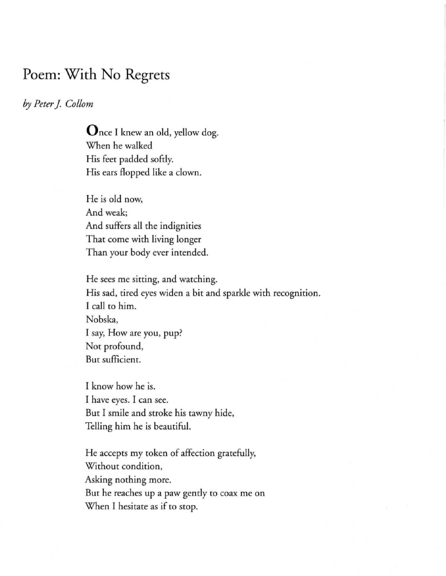## Poem: **With** No Regrets

*by Peter* j. *Collom* 

 $\mathbf O$ nce I knew an old, yellow dog. When he walked His feet padded softly. His ears flopped like a clown.

He is old now, And weak; And suffers all the indignities That come with living longer Than your body ever intended.

He sees me sitting, and watching. His sad, tired eyes widen a bit and sparkle with recognition. I call to him. Nobska, I say, How are you, pup? Not profound, But sufficient.

I know how he is. I have eyes. I can see. But I smile and stroke his tawny hide, Telling him he is beautiful.

He accepts my token of affection gratefully, Without condition, Asking nothing more. But he reaches up a paw gently ro coax me on When I hesitate as if to stop.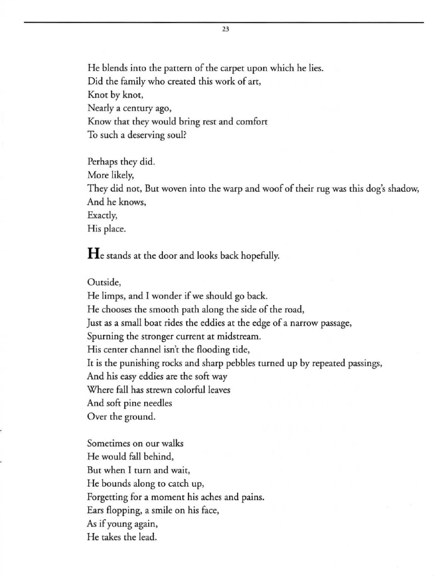He blends into the pattern of the carpet upon which he lies. Did the family who created this work of art, Knot by knot, Nearly a century ago, Know that they would bring rest and comfort To such a deserving soul?

Perhaps they did. More likely, They did not, But woven into the warp and woof of their rug was this dog's shadow, And he knows, Exaccly, His place.

**He** stands at the door and looks back hopefully.

Outside,

He limps, and I wonder if we should go back. He chooses rhe smooth path along the side of the road, Just as a small boat rides the eddies at the edge of a narrow passage, Spurning the stronger current at midstream. His center channel isn't the flooding tide, It is the punishing rocks and sharp pebbles turned up by repeated passings, And his easy eddies are the soft way Where fall has strewn colorful leaves And soft pine needles Over the ground.

Sometimes on our walks He would fall behind, Bur when I turn and wait, He bounds along to catch up, Forgetting for a moment his aches and pains. Ears flopping, a smile on his face, As if young again, He takes the lead.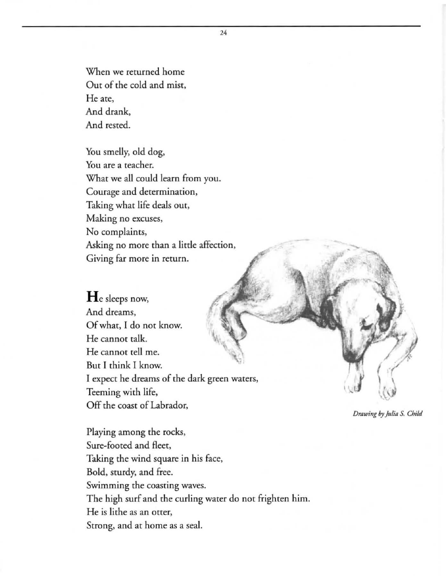When we returned home Out of the cold and mist. **He ate,**  And drank. And rested.

You smelly, old dog, You are a teacher. What we all could learn from you. Courage and determination. Taking what life deals out. Making no excuses. No complaints. Asking no more than a little affection. **Giving far more in return.** 

**He** sleeps now. And dreams. Of what. I do not know. He cannot talk. He cannot tell me. But I think I know. I expect he dreams of the dark green waters. Teeming with life. Off the coast of Labrador.

 $Drawing$  by Julia *S.* Child

Playing among the rocks. Sure-footed and fleet. Taking the wind square in his face. Bold, sturdy, and free. Swimming the coasting waves. The high surf and the curling water do not frighten him. He is lithe as an otter. Strong. and at home as a seal.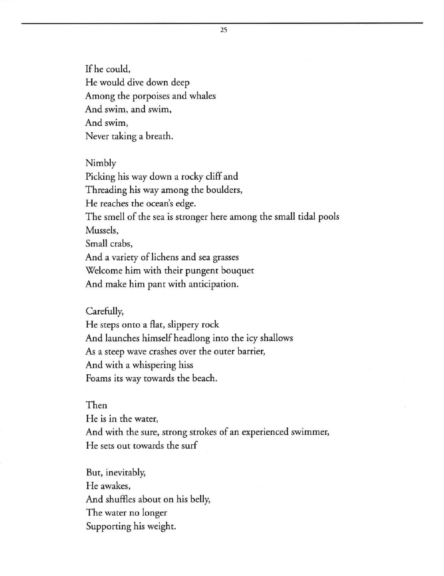Ifhe could, He would dive down deep Among the porpoises and whales **And swim, and swim,**  And swim, Never taking a breath.

Nimbly Picking his way down a rocky cliff and Threading his way among the boulders, He reaches the ocean's edge. The smell of the sea is stronger here among the small tidal pools Mussels, Small crabs, And a variety of lichens and sea grasses Welcome him with their pungent bouquet And make him pant with anticipation.

Carefully,

He steps onto a flat, slippery rock And launches himself headlong into the icy shallows As a steep wave crashes over the outer barrier, And with a whispering hiss Foams its way towards the beach.

Then **He is in the water,**  And with the sure, strong strokes of an experienced swimmer, He sets out towards the surf

But, inevitably, He awakes, And shuffles about on his belly, The water no longer Supporting his weight.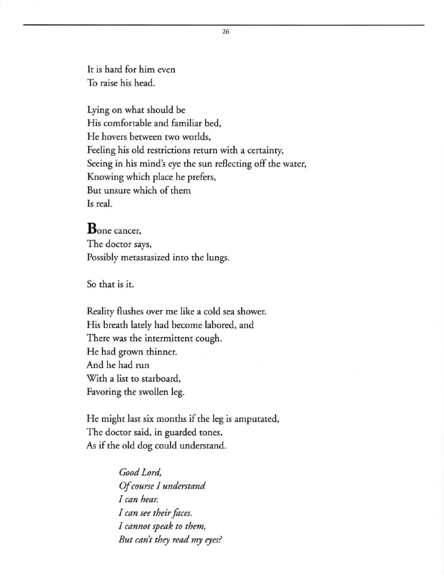It is hard for him even To raise his head.

Lying on what should be His comfortable and familiar bed, He hovers berween rwo worlds, Feeling his old restrictions return with a certainty, Seeing in his mind's eye the sun reflecting off the water, Knowing which place he prefers, But unsure which of them Is real.

**B one cancer,**  The doctor says, Possibly metastasized into the lungs.

So that is it.

Reality flushes over me like a cold sea shower. His breath lately had become labored, and There was the intermittent cough. He had grown thinner. And he had run With a list to starboard, Favoring the swollen leg.

He might last six months if the leg is amputated, The doctor said, in guarded tones, As if the old dog could understand.

> *Good Lord, Of course* f *understand*  I can hear. I can see their faces. f *cannot speak to them, But can't they read my eyes?*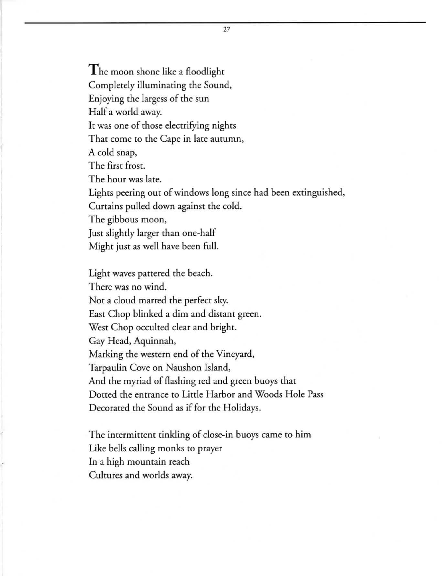$\mathrm{T}$ he moon shone like a floodlight Completely illuminating the Sound, Enjoying the largess of the sun Half a world away. It was one of those electrifying nights That come to the Cape in late autumn, A cold snap, The first frost. The hour was late. Lights peering out of windows long since had been extinguished, Curtains pulled down against the cold. The gibbous moon, Just slightly larger than one-half Might just as well have been full. Light waves pattered the beach.

There was no wind. Not a cloud marred the perfect sky. East Chop blinked a dim and distant green. West Chop occulted clear and bright. Gay Head, Aquinnah, Marking the western end of the Vineyard, Tarpaulin Cove on Naushon Island, And the myriad of flashing red and green buoys that Dotted the entrance to Little Harbor and Woods Hole Pass Decorated the Sound as if for the Holidays.

The intermittent tinkling of close-in buoys came to him Like bells calling monks to prayer In a high mountain reach Cultures and worlds away.

27